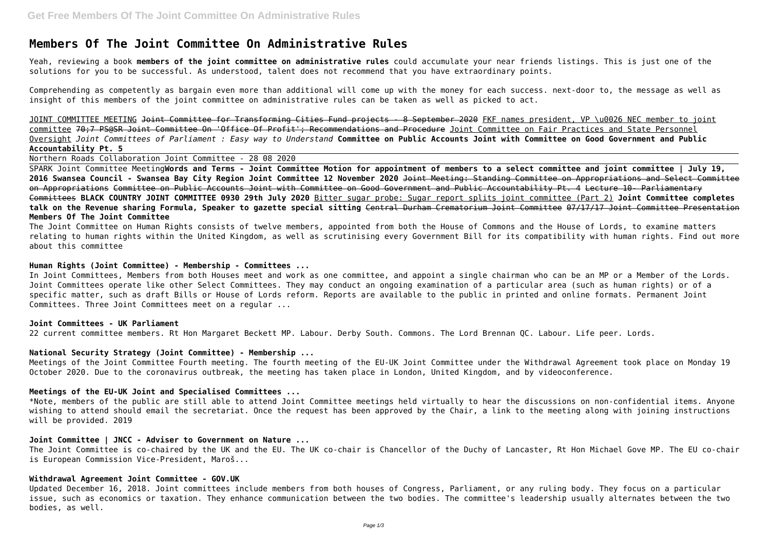# **Members Of The Joint Committee On Administrative Rules**

Yeah, reviewing a book **members of the joint committee on administrative rules** could accumulate your near friends listings. This is just one of the solutions for you to be successful. As understood, talent does not recommend that you have extraordinary points.

Comprehending as competently as bargain even more than additional will come up with the money for each success. next-door to, the message as well as insight of this members of the joint committee on administrative rules can be taken as well as picked to act.

JOINT COMMITTEE MEETING Joint Committee for Transforming Cities Fund projects - 8 September 2020 FKF names president, VP \u0026 NEC member to joint committee 70;7 PS@SR Joint Committee On 'Office Of Profit'; Recommendations and Procedure Joint Committee on Fair Practices and State Personnel Oversight *Joint Committees of Parliament : Easy way to Understand* **Committee on Public Accounts Joint with Committee on Good Government and Public Accountability Pt. 5**

Northern Roads Collaboration Joint Committee - 28 08 2020

SPARK Joint Committee Meeting**Words and Terms - Joint Committee Motion for appointment of members to a select committee and joint committee | July 19, 2016 Swansea Council - Swansea Bay City Region Joint Committee 12 November 2020** Joint Meeting: Standing Committee on Appropriations and Select Committee on Appropriations Committee on Public Accounts Joint with Committee on Good Government and Public Accountability Pt. 4 Lecture 10- Parliamentary Committees **BLACK COUNTRY JOINT COMMITTEE 0930 29th July 2020** Bitter sugar probe: Sugar report splits joint committee (Part 2) **Joint Committee completes talk on the Revenue sharing Formula, Speaker to gazette special sitting** Central Durham Crematorium Joint Committee 07/17/17 Joint Committee Presentation **Members Of The Joint Committee**

The Joint Committee on Human Rights consists of twelve members, appointed from both the House of Commons and the House of Lords, to examine matters relating to human rights within the United Kingdom, as well as scrutinising every Government Bill for its compatibility with human rights. Find out more about this committee

# **Human Rights (Joint Committee) - Membership - Committees ...**

In Joint Committees, Members from both Houses meet and work as one committee, and appoint a single chairman who can be an MP or a Member of the Lords. Joint Committees operate like other Select Committees. They may conduct an ongoing examination of a particular area (such as human rights) or of a specific matter, such as draft Bills or House of Lords reform. Reports are available to the public in printed and online formats. Permanent Joint Committees. Three Joint Committees meet on a regular ...

#### **Joint Committees - UK Parliament**

22 current committee members. Rt Hon Margaret Beckett MP. Labour. Derby South. Commons. The Lord Brennan QC. Labour. Life peer. Lords.

#### **National Security Strategy (Joint Committee) - Membership ...**

Meetings of the Joint Committee Fourth meeting. The fourth meeting of the EU-UK Joint Committee under the Withdrawal Agreement took place on Monday 19 October 2020. Due to the coronavirus outbreak, the meeting has taken place in London, United Kingdom, and by videoconference.

#### **Meetings of the EU-UK Joint and Specialised Committees ...**

\*Note, members of the public are still able to attend Joint Committee meetings held virtually to hear the discussions on non-confidential items. Anyone wishing to attend should email the secretariat. Once the request has been approved by the Chair, a link to the meeting along with joining instructions will be provided. 2019

#### **Joint Committee | JNCC - Adviser to Government on Nature ...**

The Joint Committee is co-chaired by the UK and the EU. The UK co-chair is Chancellor of the Duchy of Lancaster, Rt Hon Michael Gove MP. The EU co-chair is European Commission Vice-President, Maroš...

# **Withdrawal Agreement Joint Committee - GOV.UK**

Updated December 16, 2018. Joint committees include members from both houses of Congress, Parliament, or any ruling body. They focus on a particular issue, such as economics or taxation. They enhance communication between the two bodies. The committee's leadership usually alternates between the two bodies, as well.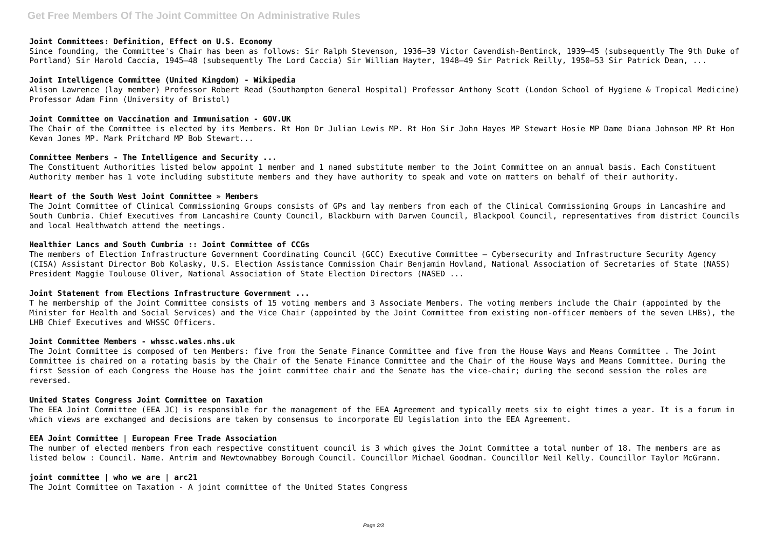#### **Joint Committees: Definition, Effect on U.S. Economy**

Since founding, the Committee's Chair has been as follows: Sir Ralph Stevenson, 1936–39 Victor Cavendish-Bentinck, 1939–45 (subsequently The 9th Duke of Portland) Sir Harold Caccia, 1945–48 (subsequently The Lord Caccia) Sir William Hayter, 1948–49 Sir Patrick Reilly, 1950–53 Sir Patrick Dean, ...

## **Joint Intelligence Committee (United Kingdom) - Wikipedia**

Alison Lawrence (lay member) Professor Robert Read (Southampton General Hospital) Professor Anthony Scott (London School of Hygiene & Tropical Medicine) Professor Adam Finn (University of Bristol)

## **Joint Committee on Vaccination and Immunisation - GOV.UK**

The Chair of the Committee is elected by its Members. Rt Hon Dr Julian Lewis MP. Rt Hon Sir John Hayes MP Stewart Hosie MP Dame Diana Johnson MP Rt Hon Kevan Jones MP. Mark Pritchard MP Bob Stewart...

## **Committee Members - The Intelligence and Security ...**

The Constituent Authorities listed below appoint 1 member and 1 named substitute member to the Joint Committee on an annual basis. Each Constituent Authority member has 1 vote including substitute members and they have authority to speak and vote on matters on behalf of their authority.

# **Heart of the South West Joint Committee » Members**

The Joint Committee of Clinical Commissioning Groups consists of GPs and lay members from each of the Clinical Commissioning Groups in Lancashire and South Cumbria. Chief Executives from Lancashire County Council, Blackburn with Darwen Council, Blackpool Council, representatives from district Councils and local Healthwatch attend the meetings.

## **Healthier Lancs and South Cumbria :: Joint Committee of CCGs**

The members of Election Infrastructure Government Coordinating Council (GCC) Executive Committee – Cybersecurity and Infrastructure Security Agency (CISA) Assistant Director Bob Kolasky, U.S. Election Assistance Commission Chair Benjamin Hovland, National Association of Secretaries of State (NASS) President Maggie Toulouse Oliver, National Association of State Election Directors (NASED ...

## **Joint Statement from Elections Infrastructure Government ...**

T he membership of the Joint Committee consists of 15 voting members and 3 Associate Members. The voting members include the Chair (appointed by the Minister for Health and Social Services) and the Vice Chair (appointed by the Joint Committee from existing non-officer members of the seven LHBs), the LHB Chief Executives and WHSSC Officers.

#### **Joint Committee Members - whssc.wales.nhs.uk**

The Joint Committee is composed of ten Members: five from the Senate Finance Committee and five from the House Ways and Means Committee . The Joint Committee is chaired on a rotating basis by the Chair of the Senate Finance Committee and the Chair of the House Ways and Means Committee. During the first Session of each Congress the House has the joint committee chair and the Senate has the vice-chair; during the second session the roles are reversed.

## **United States Congress Joint Committee on Taxation**

The EEA Joint Committee (EEA JC) is responsible for the management of the EEA Agreement and typically meets six to eight times a year. It is a forum in which views are exchanged and decisions are taken by consensus to incorporate EU legislation into the EEA Agreement.

# **EEA Joint Committee | European Free Trade Association**

The number of elected members from each respective constituent council is 3 which gives the Joint Committee a total number of 18. The members are as listed below : Council. Name. Antrim and Newtownabbey Borough Council. Councillor Michael Goodman. Councillor Neil Kelly. Councillor Taylor McGrann.

## **joint committee | who we are | arc21**

The Joint Committee on Taxation - A joint committee of the United States Congress